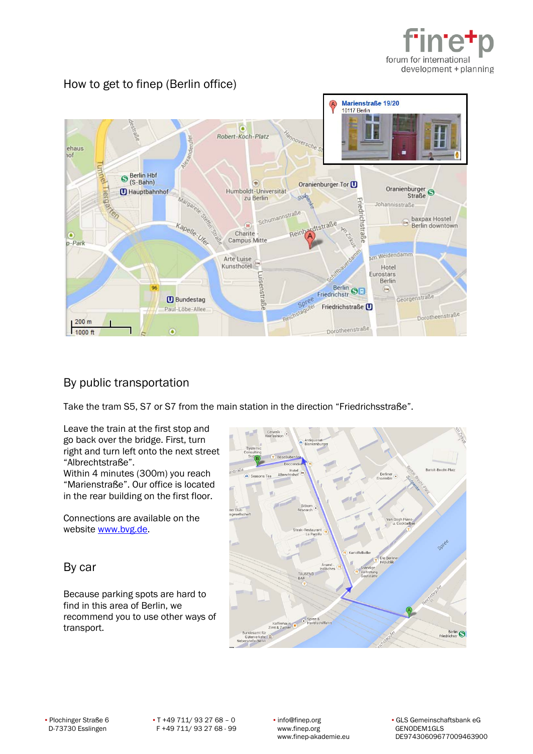



## How to get to finep (Berlin office)

## By public transportation

Take the tram S5, S7 or S7 from the main station in the direction "Friedrichsstraße".

Leave the train at the first stop and go back over the bridge. First, turn right and turn left onto the next street "Albrechtstraße". Within 4 minutes (300m) you reach

"Marienstraße". Our office is located in the rear building on the first floor.

Connections are available on the website [www.bvg.de.](http://www.bvg.de/)

## By car

Because parking spots are hard to find in this area of Berlin, we recommend you to use other ways of transport.



▪ Plochinger Straße 6 ▪ T +49 711/ 93 27 68 – 0 ▪ info@finep.org ▪ GLS Gemeinschaftsbank eG www.finep-akademie.eu DE97430609677009463900